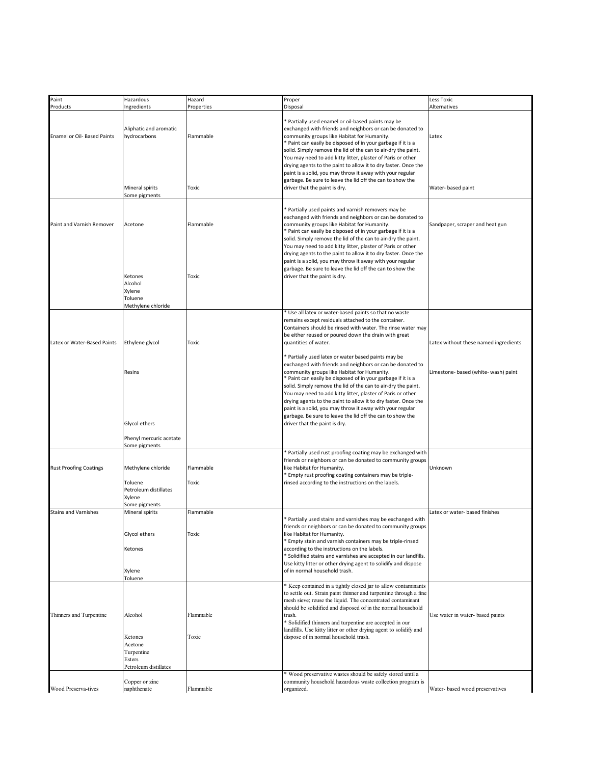| Paint                         | Hazardous                                                                         | Hazard             | Proper                                                                                                                                                                                                                                                                                                                                                                                                                                                                                                                                                                                       | Less Toxic                            |
|-------------------------------|-----------------------------------------------------------------------------------|--------------------|----------------------------------------------------------------------------------------------------------------------------------------------------------------------------------------------------------------------------------------------------------------------------------------------------------------------------------------------------------------------------------------------------------------------------------------------------------------------------------------------------------------------------------------------------------------------------------------------|---------------------------------------|
| Products                      | Ingredients                                                                       | Properties         | Disposal                                                                                                                                                                                                                                                                                                                                                                                                                                                                                                                                                                                     | Alternatives                          |
| Enamel or Oil- Based Paints   | Aliphatic and aromatic<br>hydrocarbons                                            | Flammable          | * Partially used enamel or oil-based paints may be<br>exchanged with friends and neighbors or can be donated to<br>community groups like Habitat for Humanity.<br>* Paint can easily be disposed of in your garbage if it is a<br>solid. Simply remove the lid of the can to air-dry the paint.<br>You may need to add kitty litter, plaster of Paris or other<br>drying agents to the paint to allow it to dry faster. Once the<br>paint is a solid, you may throw it away with your regular<br>garbage. Be sure to leave the lid off the can to show the                                   | Latex                                 |
|                               | Mineral spirits<br>Some pigments                                                  | Toxic              | driver that the paint is dry.                                                                                                                                                                                                                                                                                                                                                                                                                                                                                                                                                                | Water- based paint                    |
| Paint and Varnish Remover     | Acetone                                                                           | Flammable          | * Partially used paints and varnish removers may be<br>exchanged with friends and neighbors or can be donated to<br>community groups like Habitat for Humanity.<br>* Paint can easily be disposed of in your garbage if it is a<br>solid. Simply remove the lid of the can to air-dry the paint.<br>You may need to add kitty litter, plaster of Paris or other<br>drying agents to the paint to allow it to dry faster. Once the<br>paint is a solid, you may throw it away with your regular<br>garbage. Be sure to leave the lid off the can to show the                                  | Sandpaper, scraper and heat gun       |
|                               | Ketones<br>Alcohol<br>Xylene<br>Toluene<br>Methylene chloride                     | Toxic              | driver that the paint is dry.                                                                                                                                                                                                                                                                                                                                                                                                                                                                                                                                                                |                                       |
| Latex or Water-Based Paints   | Ethylene glycol                                                                   | Toxic              | * Use all latex or water-based paints so that no waste<br>remains except residuals attached to the container.<br>Containers should be rinsed with water. The rinse water may<br>be either reused or poured down the drain with great<br>quantities of water.                                                                                                                                                                                                                                                                                                                                 | Latex without these named ingredients |
|                               | Resins<br>Glycol ethers                                                           |                    | * Partially used latex or water based paints may be<br>exchanged with friends and neighbors or can be donated to<br>community groups like Habitat for Humanity.<br>* Paint can easily be disposed of in your garbage if it is a<br>solid. Simply remove the lid of the can to air-dry the paint.<br>You may need to add kitty litter, plaster of Paris or other<br>drying agents to the paint to allow it to dry faster. Once the<br>paint is a solid, you may throw it away with your regular<br>garbage. Be sure to leave the lid off the can to show the<br>driver that the paint is dry. | Limestone- based (white- wash) paint  |
|                               | Phenyl mercuric acetate<br>Some pigments                                          |                    |                                                                                                                                                                                                                                                                                                                                                                                                                                                                                                                                                                                              |                                       |
| <b>Rust Proofing Coatings</b> | Methylene chloride<br>Toluene<br>Petroleum distillates<br>Xylene<br>Some pigments | Flammable<br>Toxic | * Partially used rust proofing coating may be exchanged with<br>friends or neighbors or can be donated to community groups<br>like Habitat for Humanity.<br>* Empty rust proofing coating containers may be triple-<br>rinsed according to the instructions on the labels.                                                                                                                                                                                                                                                                                                                   | Unknown                               |
| <b>Stains and Varnishes</b>   | Mineral spirits<br>Glycol ethers<br>Ketones<br>Xylene<br>Toluene                  | Flammable<br>Toxic | <sup>*</sup> Partially used stains and varnishes may be exchanged with<br>friends or neighbors or can be donated to community groups<br>like Habitat for Humanity.<br>Empty stain and varnish containers may be triple-rinsed<br>according to the instructions on the labels.<br>* Solidified stains and varnishes are accepted in our landfills.<br>Use kitty litter or other drying agent to solidify and dispose<br>of in normal household trash.                                                                                                                                         | Latex or water- based finishes        |
| Thinners and Turpentine       | Alcohol<br>Ketones<br>Acetone<br>Turpentine<br>Esters<br>Petroleum distillates    | Flammable<br>Toxic | * Keep contained in a tightly closed jar to allow contaminants<br>to settle out. Strain paint thinner and turpentine through a fine<br>mesh sieve; reuse the liquid. The concentrated contaminant<br>should be solidified and disposed of in the normal household<br>trash.<br><sup>8</sup> Solidified thinners and turpentine are accepted in our<br>landfills. Use kitty litter or other drying agent to solidify and<br>dispose of in normal household trash.                                                                                                                             | Use water in water- based paints      |
| Wood Preserva-tives           | Copper or zinc<br>naphthenate                                                     | Flammable          | * Wood preservative wastes should be safely stored until a<br>community household hazardous waste collection program is<br>organized.                                                                                                                                                                                                                                                                                                                                                                                                                                                        | Water- based wood preservatives       |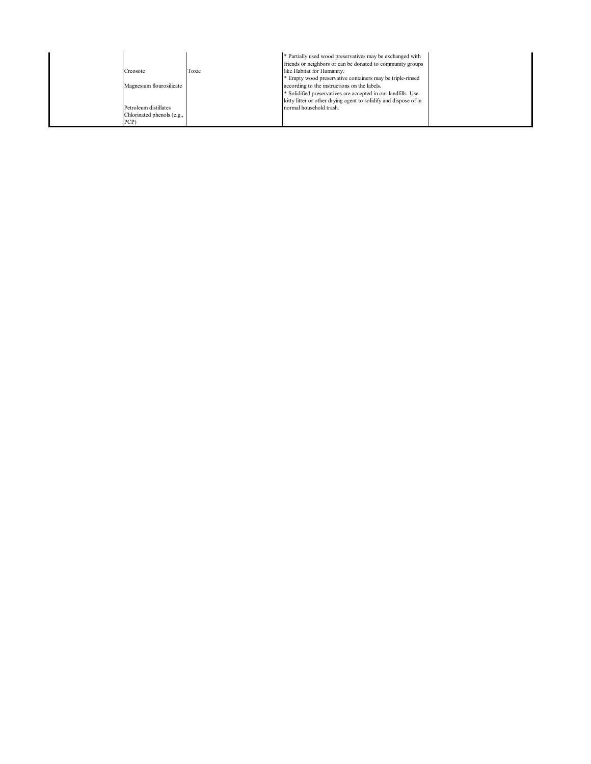|                            |       | * Partially used wood preservatives may be exchanged with<br>friends or neighbors or can be donated to community groups |  |
|----------------------------|-------|-------------------------------------------------------------------------------------------------------------------------|--|
| Creosote                   | Toxic | like Habitat for Humanity.                                                                                              |  |
|                            |       | * Empty wood preservative containers may be triple-rinsed                                                               |  |
| Magnesium flourosilicate   |       | according to the instructions on the labels.                                                                            |  |
|                            |       | * Solidified preservatives are accepted in our landfills. Use                                                           |  |
|                            |       | kitty litter or other drying agent to solidify and dispose of in                                                        |  |
| Petroleum distillates      |       | normal household trash.                                                                                                 |  |
| Chlorinated phenols (e.g., |       |                                                                                                                         |  |
| PCP)                       |       |                                                                                                                         |  |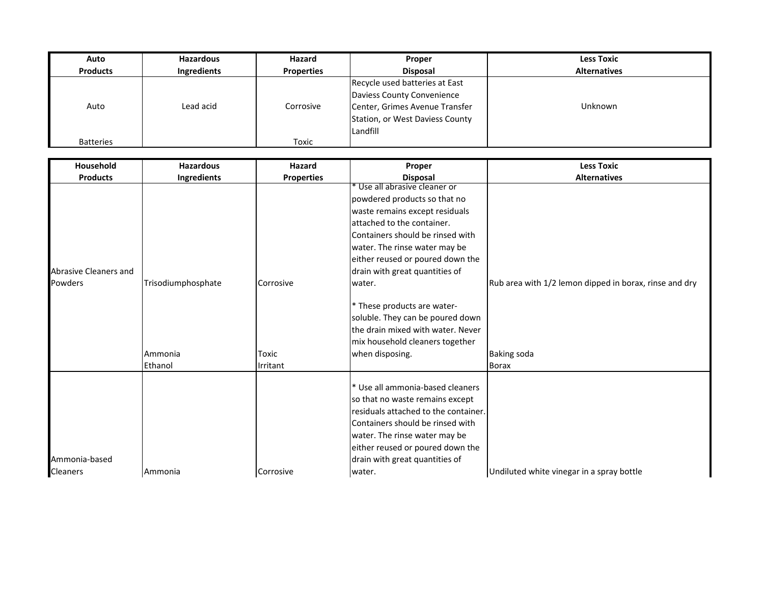| Auto             | <b>Hazardous</b>   | <b>Hazard</b>     | Proper                          | <b>Less Toxic</b>   |
|------------------|--------------------|-------------------|---------------------------------|---------------------|
| <b>Products</b>  | <b>Ingredients</b> | <b>Properties</b> | <b>Disposal</b>                 | <b>Alternatives</b> |
|                  |                    |                   | Recycle used batteries at East  |                     |
|                  |                    |                   | Daviess County Convenience      |                     |
| Auto             | Lead acid          | Corrosive         | Center, Grimes Avenue Transfer  | Unknown             |
|                  |                    |                   | Station, or West Daviess County |                     |
|                  |                    |                   | Landfill                        |                     |
| <b>Batteries</b> |                    | Toxic             |                                 |                     |

| Household             | <b>Hazardous</b>   | Hazard            | Proper                               | <b>Less Toxic</b>                                      |
|-----------------------|--------------------|-------------------|--------------------------------------|--------------------------------------------------------|
| <b>Products</b>       | Ingredients        | <b>Properties</b> | <b>Disposal</b>                      | <b>Alternatives</b>                                    |
|                       |                    |                   | * Use all abrasive cleaner or        |                                                        |
|                       |                    |                   | powdered products so that no         |                                                        |
|                       |                    |                   | waste remains except residuals       |                                                        |
|                       |                    |                   | attached to the container.           |                                                        |
|                       |                    |                   | Containers should be rinsed with     |                                                        |
|                       |                    |                   | water. The rinse water may be        |                                                        |
|                       |                    |                   | either reused or poured down the     |                                                        |
| Abrasive Cleaners and |                    |                   | drain with great quantities of       |                                                        |
| <b>Powders</b>        | Trisodiumphosphate | <b>Corrosive</b>  | water.                               | Rub area with 1/2 lemon dipped in borax, rinse and dry |
|                       |                    |                   |                                      |                                                        |
|                       |                    |                   | * These products are water-          |                                                        |
|                       |                    |                   | soluble. They can be poured down     |                                                        |
|                       |                    |                   | the drain mixed with water. Never    |                                                        |
|                       |                    |                   | mix household cleaners together      |                                                        |
|                       | Ammonia            | Toxic             | when disposing.                      | <b>Baking soda</b>                                     |
|                       | Ethanol            | Irritant          |                                      | <b>Borax</b>                                           |
|                       |                    |                   |                                      |                                                        |
|                       |                    |                   | * Use all ammonia-based cleaners     |                                                        |
|                       |                    |                   | so that no waste remains except      |                                                        |
|                       |                    |                   | residuals attached to the container. |                                                        |
|                       |                    |                   | Containers should be rinsed with     |                                                        |
|                       |                    |                   | water. The rinse water may be        |                                                        |
|                       |                    |                   | either reused or poured down the     |                                                        |
| Ammonia-based         |                    |                   | drain with great quantities of       |                                                        |
| Cleaners              | Ammonia            | <b>Corrosive</b>  | water.                               | Undiluted white vinegar in a spray bottle              |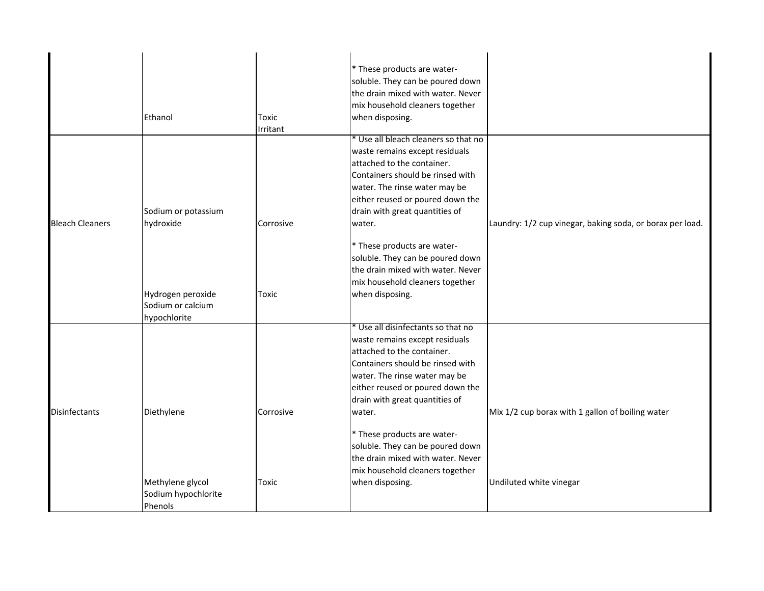|                        |                     |           | * These products are water-          |                                                           |
|------------------------|---------------------|-----------|--------------------------------------|-----------------------------------------------------------|
|                        |                     |           | soluble. They can be poured down     |                                                           |
|                        |                     |           | the drain mixed with water. Never    |                                                           |
|                        |                     |           | mix household cleaners together      |                                                           |
|                        | Ethanol             | Toxic     | when disposing.                      |                                                           |
|                        |                     | Irritant  |                                      |                                                           |
|                        |                     |           | * Use all bleach cleaners so that no |                                                           |
|                        |                     |           | waste remains except residuals       |                                                           |
|                        |                     |           | attached to the container.           |                                                           |
|                        |                     |           | Containers should be rinsed with     |                                                           |
|                        |                     |           | water. The rinse water may be        |                                                           |
|                        |                     |           | either reused or poured down the     |                                                           |
|                        | Sodium or potassium |           | drain with great quantities of       |                                                           |
| <b>Bleach Cleaners</b> | hydroxide           | Corrosive | water.                               | Laundry: 1/2 cup vinegar, baking soda, or borax per load. |
|                        |                     |           | * These products are water-          |                                                           |
|                        |                     |           | soluble. They can be poured down     |                                                           |
|                        |                     |           | the drain mixed with water. Never    |                                                           |
|                        |                     |           | mix household cleaners together      |                                                           |
|                        | Hydrogen peroxide   | Toxic     | when disposing.                      |                                                           |
|                        | Sodium or calcium   |           |                                      |                                                           |
|                        | hypochlorite        |           |                                      |                                                           |
|                        |                     |           | * Use all disinfectants so that no   |                                                           |
|                        |                     |           | waste remains except residuals       |                                                           |
|                        |                     |           | attached to the container.           |                                                           |
|                        |                     |           | Containers should be rinsed with     |                                                           |
|                        |                     |           | water. The rinse water may be        |                                                           |
|                        |                     |           | either reused or poured down the     |                                                           |
|                        |                     |           | drain with great quantities of       |                                                           |
| <b>Disinfectants</b>   | Diethylene          | Corrosive | water.                               | Mix 1/2 cup borax with 1 gallon of boiling water          |
|                        |                     |           | * These products are water-          |                                                           |
|                        |                     |           | soluble. They can be poured down     |                                                           |
|                        |                     |           | the drain mixed with water. Never    |                                                           |
|                        |                     |           | mix household cleaners together      |                                                           |
|                        | Methylene glycol    | Toxic     | when disposing.                      | Undiluted white vinegar                                   |
|                        | Sodium hypochlorite |           |                                      |                                                           |
|                        | Phenols             |           |                                      |                                                           |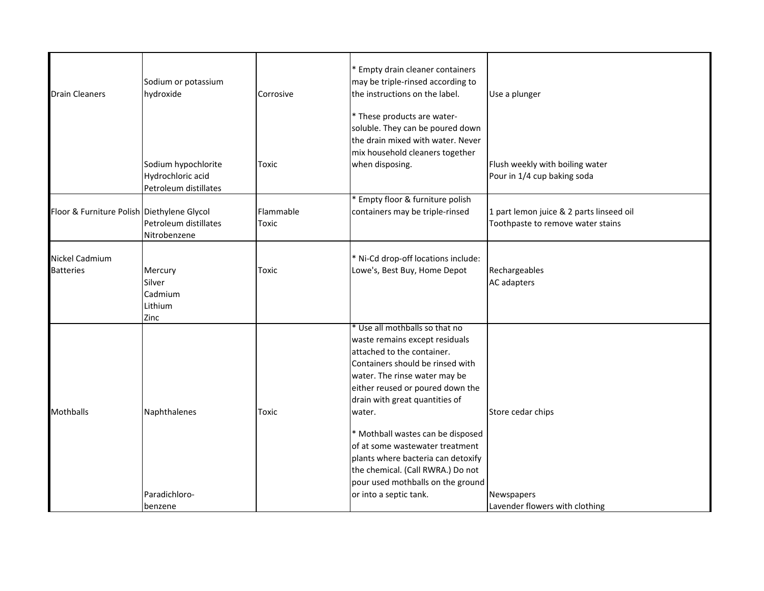| <b>Drain Cleaners</b>                      | Sodium or potassium<br>hydroxide                                  | Corrosive          | Empty drain cleaner containers<br>may be triple-rinsed according to<br>the instructions on the label.<br>* These products are water-<br>soluble. They can be poured down<br>the drain mixed with water. Never                                                                                                                                                                                                                               | Use a plunger                                                                 |
|--------------------------------------------|-------------------------------------------------------------------|--------------------|---------------------------------------------------------------------------------------------------------------------------------------------------------------------------------------------------------------------------------------------------------------------------------------------------------------------------------------------------------------------------------------------------------------------------------------------|-------------------------------------------------------------------------------|
|                                            | Sodium hypochlorite<br>Hydrochloric acid<br>Petroleum distillates | Toxic              | mix household cleaners together<br>when disposing.                                                                                                                                                                                                                                                                                                                                                                                          | Flush weekly with boiling water<br>Pour in 1/4 cup baking soda                |
| Floor & Furniture Polish Diethylene Glycol | Petroleum distillates<br>Nitrobenzene                             | Flammable<br>Toxic | Empty floor & furniture polish<br>containers may be triple-rinsed                                                                                                                                                                                                                                                                                                                                                                           | 1 part lemon juice & 2 parts linseed oil<br>Toothpaste to remove water stains |
| <b>Nickel Cadmium</b><br><b>Batteries</b>  | Mercury<br>Silver<br>Cadmium<br>Lithium<br>Zinc                   | Toxic              | * Ni-Cd drop-off locations include:<br>Lowe's, Best Buy, Home Depot                                                                                                                                                                                                                                                                                                                                                                         | Rechargeables<br>AC adapters                                                  |
| <b>Mothballs</b>                           | Naphthalenes                                                      | Toxic              | * Use all mothballs so that no<br>waste remains except residuals<br>attached to the container.<br>Containers should be rinsed with<br>water. The rinse water may be<br>either reused or poured down the<br>drain with great quantities of<br>water.<br>* Mothball wastes can be disposed<br>of at some wastewater treatment<br>plants where bacteria can detoxify<br>the chemical. (Call RWRA.) Do not<br>pour used mothballs on the ground | Store cedar chips                                                             |
|                                            | Paradichloro-<br>benzene                                          |                    | or into a septic tank.                                                                                                                                                                                                                                                                                                                                                                                                                      | Newspapers<br>Lavender flowers with clothing                                  |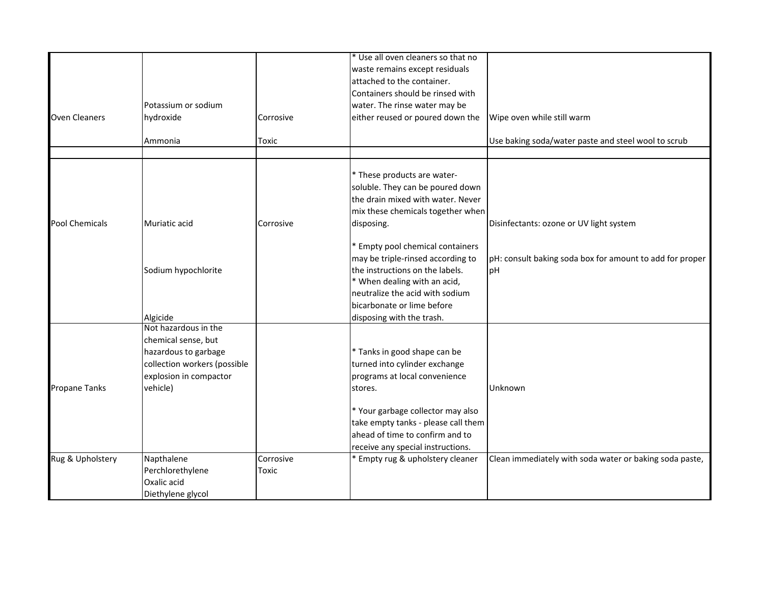|                       |                              |           | * Use all oven cleaners so that no  |                                                          |
|-----------------------|------------------------------|-----------|-------------------------------------|----------------------------------------------------------|
|                       |                              |           | waste remains except residuals      |                                                          |
|                       |                              |           | attached to the container.          |                                                          |
|                       |                              |           | Containers should be rinsed with    |                                                          |
|                       | Potassium or sodium          |           | water. The rinse water may be       |                                                          |
| <b>Oven Cleaners</b>  | hydroxide                    | Corrosive | either reused or poured down the    | Wipe oven while still warm                               |
|                       | Ammonia                      | Toxic     |                                     | Use baking soda/water paste and steel wool to scrub      |
|                       |                              |           |                                     |                                                          |
|                       |                              |           | * These products are water-         |                                                          |
|                       |                              |           | soluble. They can be poured down    |                                                          |
|                       |                              |           | the drain mixed with water. Never   |                                                          |
|                       |                              |           | mix these chemicals together when   |                                                          |
| <b>Pool Chemicals</b> | Muriatic acid                | Corrosive | disposing.                          | Disinfectants: ozone or UV light system                  |
|                       |                              |           | * Empty pool chemical containers    |                                                          |
|                       |                              |           | may be triple-rinsed according to   | pH: consult baking soda box for amount to add for proper |
|                       | Sodium hypochlorite          |           | the instructions on the labels.     | pH                                                       |
|                       |                              |           | * When dealing with an acid,        |                                                          |
|                       |                              |           | neutralize the acid with sodium     |                                                          |
|                       |                              |           | bicarbonate or lime before          |                                                          |
|                       | Algicide                     |           | disposing with the trash.           |                                                          |
|                       | Not hazardous in the         |           |                                     |                                                          |
|                       | chemical sense, but          |           |                                     |                                                          |
|                       | hazardous to garbage         |           | * Tanks in good shape can be        |                                                          |
|                       | collection workers (possible |           | turned into cylinder exchange       |                                                          |
|                       | explosion in compactor       |           | programs at local convenience       |                                                          |
| <b>Propane Tanks</b>  | vehicle)                     |           | stores.                             | Unknown                                                  |
|                       |                              |           | * Your garbage collector may also   |                                                          |
|                       |                              |           | take empty tanks - please call them |                                                          |
|                       |                              |           | ahead of time to confirm and to     |                                                          |
|                       |                              |           | receive any special instructions.   |                                                          |
| Rug & Upholstery      | Napthalene                   | Corrosive | * Empty rug & upholstery cleaner    | Clean immediately with soda water or baking soda paste,  |
|                       | Perchlorethylene             | Toxic     |                                     |                                                          |
|                       | Oxalic acid                  |           |                                     |                                                          |
|                       | Diethylene glycol            |           |                                     |                                                          |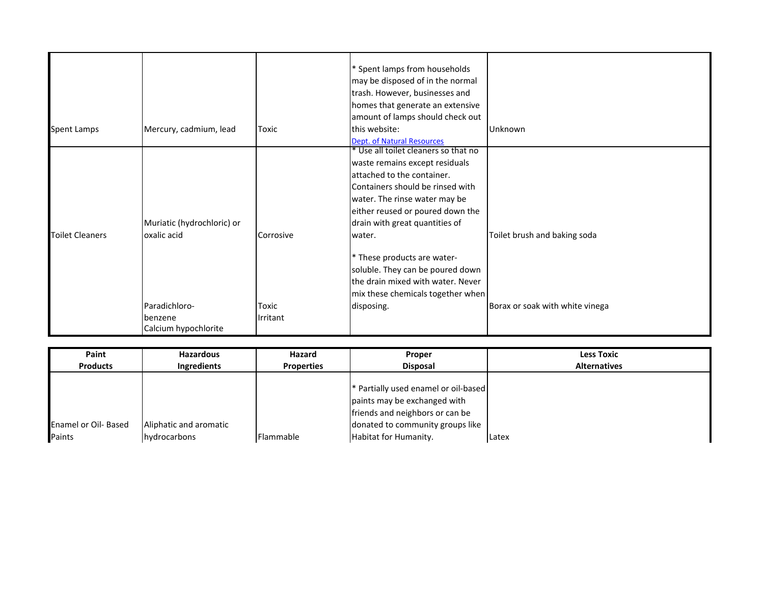|                        |                            |           | * Spent lamps from households<br>may be disposed of in the normal<br>trash. However, businesses and<br>homes that generate an extensive<br>amount of lamps should check out |                                 |
|------------------------|----------------------------|-----------|-----------------------------------------------------------------------------------------------------------------------------------------------------------------------------|---------------------------------|
| Spent Lamps            | Mercury, cadmium, lead     | Toxic     | this website:                                                                                                                                                               | Unknown                         |
|                        |                            |           | Dept. of Natural Resources                                                                                                                                                  |                                 |
|                        |                            |           | * Use all toilet cleaners so that no                                                                                                                                        |                                 |
|                        |                            |           | waste remains except residuals                                                                                                                                              |                                 |
|                        |                            |           | attached to the container.                                                                                                                                                  |                                 |
|                        |                            |           | Containers should be rinsed with                                                                                                                                            |                                 |
|                        |                            |           | water. The rinse water may be                                                                                                                                               |                                 |
|                        |                            |           | either reused or poured down the                                                                                                                                            |                                 |
|                        | Muriatic (hydrochloric) or |           | drain with great quantities of                                                                                                                                              |                                 |
| <b>Toilet Cleaners</b> | oxalic acid                | Corrosive | water.                                                                                                                                                                      | Toilet brush and baking soda    |
|                        |                            |           | * These products are water-                                                                                                                                                 |                                 |
|                        |                            |           | soluble. They can be poured down                                                                                                                                            |                                 |
|                        |                            |           | the drain mixed with water. Never                                                                                                                                           |                                 |
|                        |                            |           | mix these chemicals together when                                                                                                                                           |                                 |
|                        | Paradichloro-              | Toxic     | disposing.                                                                                                                                                                  | Borax or soak with white vinega |
|                        | benzene                    | Irritant  |                                                                                                                                                                             |                                 |
|                        | Calcium hypochlorite       |           |                                                                                                                                                                             |                                 |

| Paint                       | <b>Hazardous</b>       | Hazard            | Proper                                          | <b>Less Toxic</b>   |
|-----------------------------|------------------------|-------------------|-------------------------------------------------|---------------------|
| <b>Products</b>             | Ingredients            | <b>Properties</b> | <b>Disposal</b>                                 | <b>Alternatives</b> |
|                             |                        |                   |                                                 |                     |
|                             |                        |                   | <sup>*</sup> Partially used enamel or oil-based |                     |
|                             |                        |                   | paints may be exchanged with                    |                     |
|                             |                        |                   | friends and neighbors or can be                 |                     |
| <b>Enamel or Oil- Based</b> | Aliphatic and aromatic |                   | donated to community groups like                |                     |
| Paints                      | <u>Ihvdrocarbons</u>   | Flammable         | <b>Habitat for Humanity.</b>                    | Latex               |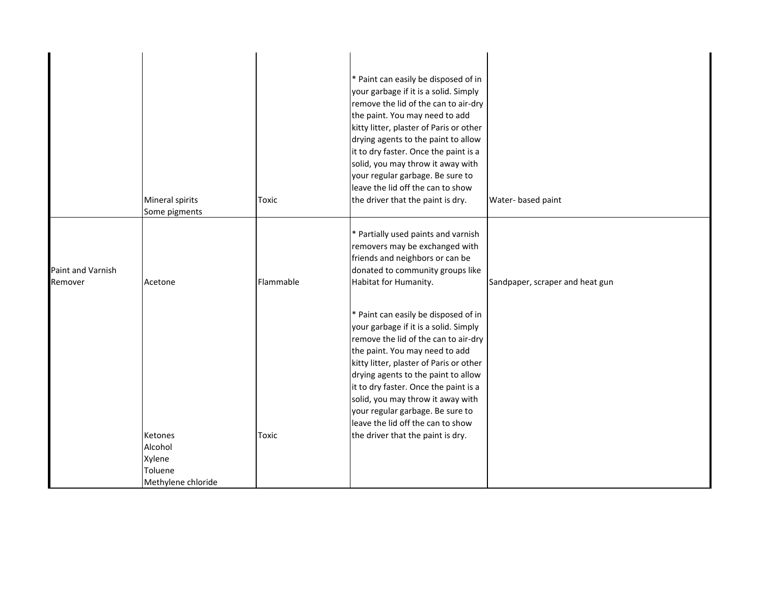|                              | Mineral spirits<br>Some pigments                              | Toxic     | * Paint can easily be disposed of in<br>your garbage if it is a solid. Simply<br>remove the lid of the can to air-dry<br>the paint. You may need to add<br>kitty litter, plaster of Paris or other<br>drying agents to the paint to allow<br>it to dry faster. Once the paint is a<br>solid, you may throw it away with<br>your regular garbage. Be sure to<br>leave the lid off the can to show<br>the driver that the paint is dry. | Water- based paint              |
|------------------------------|---------------------------------------------------------------|-----------|---------------------------------------------------------------------------------------------------------------------------------------------------------------------------------------------------------------------------------------------------------------------------------------------------------------------------------------------------------------------------------------------------------------------------------------|---------------------------------|
| Paint and Varnish<br>Remover | Acetone                                                       | Flammable | * Partially used paints and varnish<br>removers may be exchanged with<br>friends and neighbors or can be<br>donated to community groups like<br>Habitat for Humanity.                                                                                                                                                                                                                                                                 | Sandpaper, scraper and heat gun |
|                              |                                                               |           | * Paint can easily be disposed of in<br>your garbage if it is a solid. Simply<br>remove the lid of the can to air-dry<br>the paint. You may need to add<br>kitty litter, plaster of Paris or other<br>drying agents to the paint to allow<br>it to dry faster. Once the paint is a<br>solid, you may throw it away with<br>your regular garbage. Be sure to<br>leave the lid off the can to show                                      |                                 |
|                              | Ketones<br>Alcohol<br>Xylene<br>Toluene<br>Methylene chloride | Toxic     | the driver that the paint is dry.                                                                                                                                                                                                                                                                                                                                                                                                     |                                 |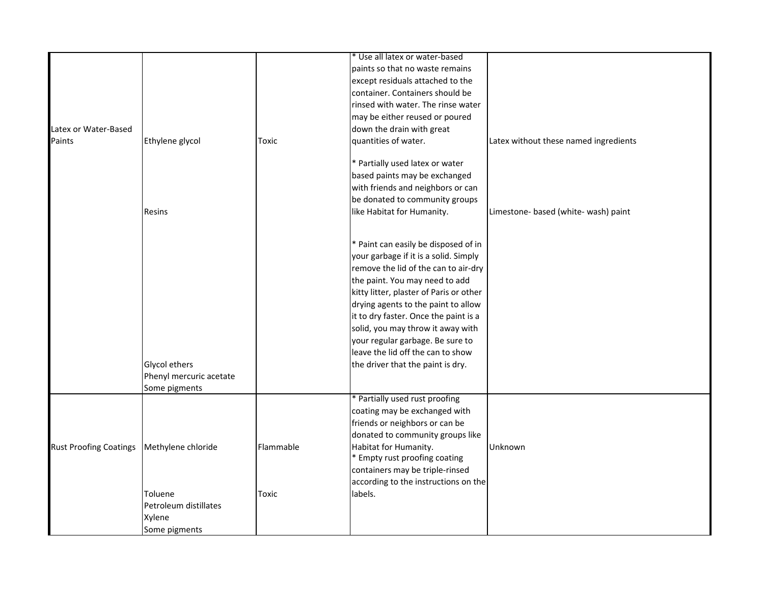|                               |                         |           | * Use all latex or water-based          |                                       |
|-------------------------------|-------------------------|-----------|-----------------------------------------|---------------------------------------|
|                               |                         |           | paints so that no waste remains         |                                       |
|                               |                         |           | except residuals attached to the        |                                       |
|                               |                         |           | container. Containers should be         |                                       |
|                               |                         |           | rinsed with water. The rinse water      |                                       |
|                               |                         |           | may be either reused or poured          |                                       |
| Latex or Water-Based          |                         |           | down the drain with great               |                                       |
| Paints                        | Ethylene glycol         | Toxic     | quantities of water.                    | Latex without these named ingredients |
|                               |                         |           |                                         |                                       |
|                               |                         |           | * Partially used latex or water         |                                       |
|                               |                         |           | based paints may be exchanged           |                                       |
|                               |                         |           | with friends and neighbors or can       |                                       |
|                               |                         |           | be donated to community groups          |                                       |
|                               | Resins                  |           | like Habitat for Humanity.              | Limestone- based (white- wash) paint  |
|                               |                         |           |                                         |                                       |
|                               |                         |           |                                         |                                       |
|                               |                         |           | * Paint can easily be disposed of in    |                                       |
|                               |                         |           | your garbage if it is a solid. Simply   |                                       |
|                               |                         |           | remove the lid of the can to air-dry    |                                       |
|                               |                         |           | the paint. You may need to add          |                                       |
|                               |                         |           | kitty litter, plaster of Paris or other |                                       |
|                               |                         |           | drying agents to the paint to allow     |                                       |
|                               |                         |           | it to dry faster. Once the paint is a   |                                       |
|                               |                         |           | solid, you may throw it away with       |                                       |
|                               |                         |           | your regular garbage. Be sure to        |                                       |
|                               |                         |           | leave the lid off the can to show       |                                       |
|                               | Glycol ethers           |           | the driver that the paint is dry.       |                                       |
|                               | Phenyl mercuric acetate |           |                                         |                                       |
|                               | Some pigments           |           |                                         |                                       |
|                               |                         |           | * Partially used rust proofing          |                                       |
|                               |                         |           | coating may be exchanged with           |                                       |
|                               |                         |           | friends or neighbors or can be          |                                       |
|                               |                         |           | donated to community groups like        |                                       |
| <b>Rust Proofing Coatings</b> | Methylene chloride      | Flammable | Habitat for Humanity.                   | Unknown                               |
|                               |                         |           | * Empty rust proofing coating           |                                       |
|                               |                         |           | containers may be triple-rinsed         |                                       |
|                               |                         |           | according to the instructions on the    |                                       |
|                               | Toluene                 | Toxic     | labels.                                 |                                       |
|                               | Petroleum distillates   |           |                                         |                                       |
|                               | Xylene                  |           |                                         |                                       |
|                               | Some pigments           |           |                                         |                                       |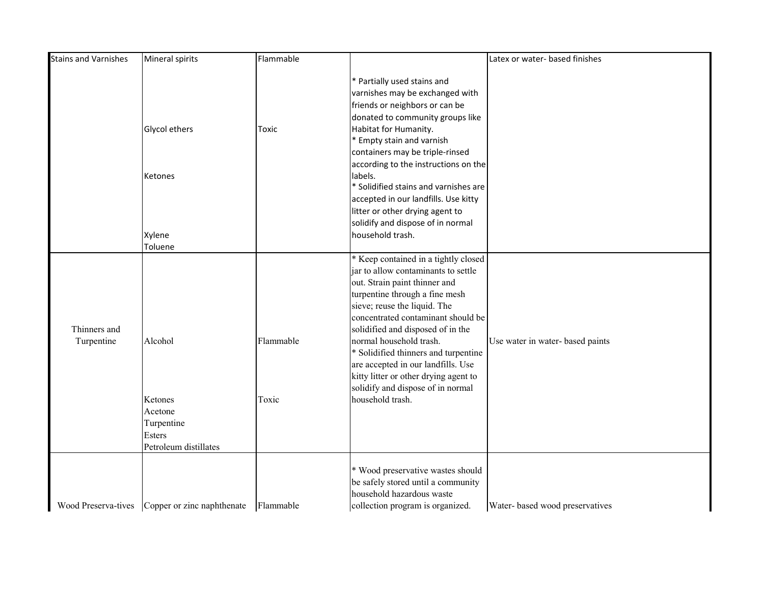| <b>Stains and Varnishes</b> | Mineral spirits            | Flammable |                                       | Latex or water- based finishes  |
|-----------------------------|----------------------------|-----------|---------------------------------------|---------------------------------|
|                             |                            |           | * Partially used stains and           |                                 |
|                             |                            |           | varnishes may be exchanged with       |                                 |
|                             |                            |           | friends or neighbors or can be        |                                 |
|                             |                            |           | donated to community groups like      |                                 |
|                             | Glycol ethers              | Toxic     | Habitat for Humanity.                 |                                 |
|                             |                            |           | * Empty stain and varnish             |                                 |
|                             |                            |           | containers may be triple-rinsed       |                                 |
|                             |                            |           | according to the instructions on the  |                                 |
|                             | Ketones                    |           | labels.                               |                                 |
|                             |                            |           | * Solidified stains and varnishes are |                                 |
|                             |                            |           | accepted in our landfills. Use kitty  |                                 |
|                             |                            |           | litter or other drying agent to       |                                 |
|                             |                            |           | solidify and dispose of in normal     |                                 |
|                             | Xylene                     |           | household trash.                      |                                 |
|                             | Toluene                    |           |                                       |                                 |
|                             |                            |           | * Keep contained in a tightly closed  |                                 |
|                             |                            |           | jar to allow contaminants to settle   |                                 |
|                             |                            |           | out. Strain paint thinner and         |                                 |
|                             |                            |           | turpentine through a fine mesh        |                                 |
|                             |                            |           | sieve; reuse the liquid. The          |                                 |
|                             |                            |           | concentrated contaminant should be    |                                 |
| Thinners and                |                            |           | solidified and disposed of in the     |                                 |
| Turpentine                  | Alcohol                    | Flammable | normal household trash.               | Use water in water-based paints |
|                             |                            |           | * Solidified thinners and turpentine  |                                 |
|                             |                            |           | are accepted in our landfills. Use    |                                 |
|                             |                            |           | kitty litter or other drying agent to |                                 |
|                             |                            |           | solidify and dispose of in normal     |                                 |
|                             | Ketones                    | Toxic     | household trash.                      |                                 |
|                             | Acetone                    |           |                                       |                                 |
|                             | Turpentine                 |           |                                       |                                 |
|                             | Esters                     |           |                                       |                                 |
|                             | Petroleum distillates      |           |                                       |                                 |
|                             |                            |           | * Wood preservative wastes should     |                                 |
|                             |                            |           | be safely stored until a community    |                                 |
|                             |                            |           | household hazardous waste             |                                 |
| Wood Preserva-tives         | Copper or zinc naphthenate | Flammable | collection program is organized.      | Water- based wood preservatives |
|                             |                            |           |                                       |                                 |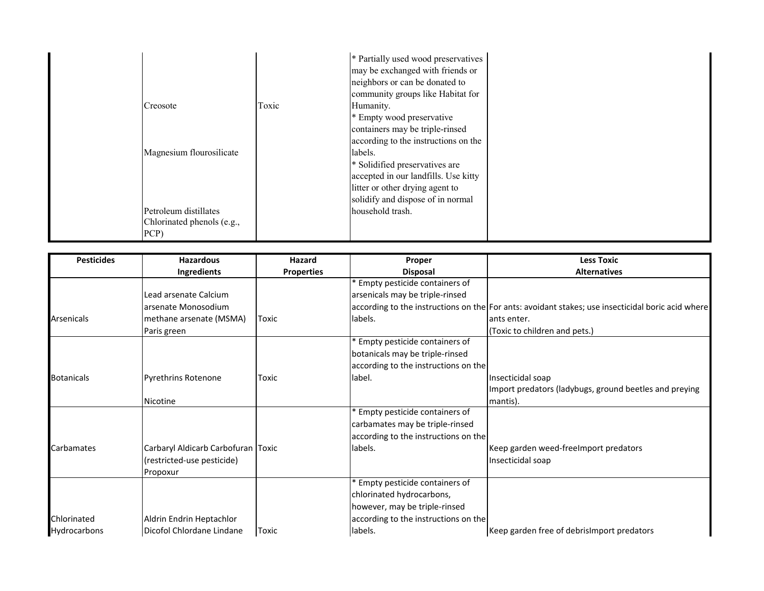| Creosote<br>Magnesium flourosilicate | Toxic | * Partially used wood preservatives<br>may be exchanged with friends or<br>neighbors or can be donated to<br>community groups like Habitat for<br>Humanity.<br>* Empty wood preservative<br>containers may be triple-rinsed<br>according to the instructions on the<br>labels.<br>* Solidified preservatives are<br>accepted in our landfills. Use kitty<br>litter or other drying agent to<br>solidify and dispose of in normal |
|--------------------------------------|-------|----------------------------------------------------------------------------------------------------------------------------------------------------------------------------------------------------------------------------------------------------------------------------------------------------------------------------------------------------------------------------------------------------------------------------------|
| Petroleum distillates                |       | household trash.                                                                                                                                                                                                                                                                                                                                                                                                                 |
| Chlorinated phenols (e.g.,           |       |                                                                                                                                                                                                                                                                                                                                                                                                                                  |
| PCP)                                 |       |                                                                                                                                                                                                                                                                                                                                                                                                                                  |

| <b>Pesticides</b> | <b>Hazardous</b>                   | Hazard            | Proper                               | <b>Less Toxic</b>                                                                                 |
|-------------------|------------------------------------|-------------------|--------------------------------------|---------------------------------------------------------------------------------------------------|
|                   | Ingredients                        | <b>Properties</b> | <b>Disposal</b>                      | <b>Alternatives</b>                                                                               |
|                   |                                    |                   | Empty pesticide containers of        |                                                                                                   |
|                   | Lead arsenate Calcium              |                   | arsenicals may be triple-rinsed      |                                                                                                   |
|                   | arsenate Monosodium                |                   |                                      | according to the instructions on the For ants: avoidant stakes; use insecticidal boric acid where |
| Arsenicals        | methane arsenate (MSMA)            | Toxic             | labels.                              | ants enter.                                                                                       |
|                   | Paris green                        |                   |                                      | (Toxic to children and pets.)                                                                     |
|                   |                                    |                   | * Empty pesticide containers of      |                                                                                                   |
|                   |                                    |                   | botanicals may be triple-rinsed      |                                                                                                   |
|                   |                                    |                   | according to the instructions on the |                                                                                                   |
| <b>Botanicals</b> | <b>Pyrethrins Rotenone</b>         | Toxic             | label.                               | Insecticidal soap                                                                                 |
|                   |                                    |                   |                                      | Import predators (ladybugs, ground beetles and preying                                            |
|                   | Nicotine                           |                   |                                      | mantis).                                                                                          |
|                   |                                    |                   | <b>Empty pesticide containers of</b> |                                                                                                   |
|                   |                                    |                   | carbamates may be triple-rinsed      |                                                                                                   |
|                   |                                    |                   | according to the instructions on the |                                                                                                   |
| Carbamates        | Carbaryl Aldicarb Carbofuran Toxic |                   | labels.                              | Keep garden weed-freelmport predators                                                             |
|                   | (restricted-use pesticide)         |                   |                                      | Insecticidal soap                                                                                 |
|                   | Propoxur                           |                   |                                      |                                                                                                   |
|                   |                                    |                   | * Empty pesticide containers of      |                                                                                                   |
|                   |                                    |                   | chlorinated hydrocarbons,            |                                                                                                   |
|                   |                                    |                   | however, may be triple-rinsed        |                                                                                                   |
| Chlorinated       | Aldrin Endrin Heptachlor           |                   | according to the instructions on the |                                                                                                   |
| Hydrocarbons      | Dicofol Chlordane Lindane          | Toxic             | labels.                              | Keep garden free of debrisimport predators                                                        |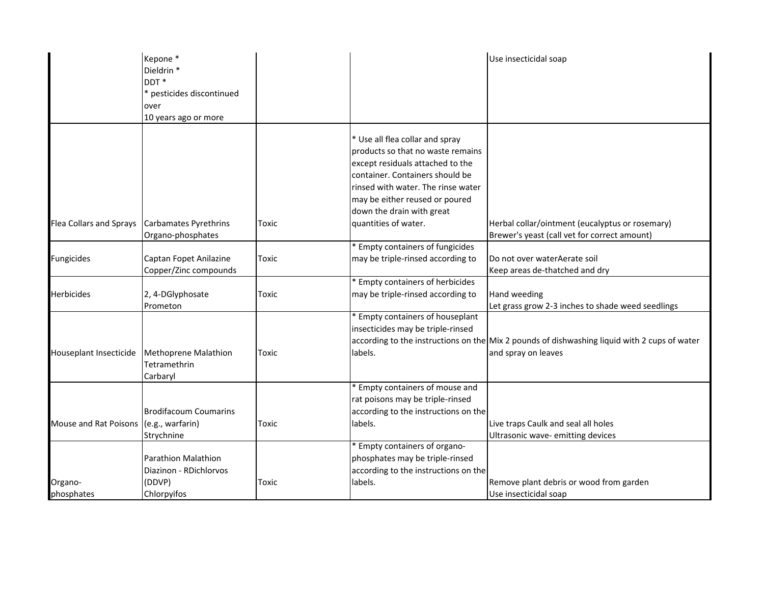|                         | Kepone*<br>Dieldrin <sup>*</sup> |       |                                       | Use insecticidal soap                                                                        |
|-------------------------|----------------------------------|-------|---------------------------------------|----------------------------------------------------------------------------------------------|
|                         | DDT <sup>*</sup>                 |       |                                       |                                                                                              |
|                         | * pesticides discontinued        |       |                                       |                                                                                              |
|                         | over                             |       |                                       |                                                                                              |
|                         | 10 years ago or more             |       |                                       |                                                                                              |
|                         |                                  |       |                                       |                                                                                              |
|                         |                                  |       | * Use all flea collar and spray       |                                                                                              |
|                         |                                  |       | products so that no waste remains     |                                                                                              |
|                         |                                  |       | except residuals attached to the      |                                                                                              |
|                         |                                  |       | container. Containers should be       |                                                                                              |
|                         |                                  |       | rinsed with water. The rinse water    |                                                                                              |
|                         |                                  |       | may be either reused or poured        |                                                                                              |
|                         |                                  |       | down the drain with great             |                                                                                              |
| Flea Collars and Sprays | <b>Carbamates Pyrethrins</b>     | Toxic | quantities of water.                  | Herbal collar/ointment (eucalyptus or rosemary)                                              |
|                         | Organo-phosphates                |       |                                       | Brewer's yeast (call vet for correct amount)                                                 |
|                         |                                  |       | * Empty containers of fungicides      |                                                                                              |
| Fungicides              | Captan Fopet Anilazine           | Toxic | may be triple-rinsed according to     | Do not over water Aerate soil                                                                |
|                         | Copper/Zinc compounds            |       |                                       | Keep areas de-thatched and dry                                                               |
|                         |                                  |       | * Empty containers of herbicides      |                                                                                              |
| Herbicides              | 2, 4-DGlyphosate                 | Toxic | may be triple-rinsed according to     | Hand weeding                                                                                 |
|                         | Prometon                         |       |                                       | Let grass grow 2-3 inches to shade weed seedlings                                            |
|                         |                                  |       | <b>Empty containers of houseplant</b> |                                                                                              |
|                         |                                  |       | insecticides may be triple-rinsed     |                                                                                              |
|                         |                                  |       |                                       | according to the instructions on the Mix 2 pounds of dishwashing liquid with 2 cups of water |
| Houseplant Insecticide  | <b>Methoprene Malathion</b>      | Toxic | labels.                               | and spray on leaves                                                                          |
|                         | Tetramethrin                     |       |                                       |                                                                                              |
|                         | Carbaryl                         |       |                                       |                                                                                              |
|                         |                                  |       | <b>Empty containers of mouse and</b>  |                                                                                              |
|                         |                                  |       | rat poisons may be triple-rinsed      |                                                                                              |
|                         | <b>Brodifacoum Coumarins</b>     |       | according to the instructions on the  |                                                                                              |
| Mouse and Rat Poisons   | (e.g., warfarin)                 | Toxic | labels.                               | Live traps Caulk and seal all holes                                                          |
|                         | Strychnine                       |       |                                       | Ultrasonic wave- emitting devices                                                            |
|                         |                                  |       | <b>Empty containers of organo-</b>    |                                                                                              |
|                         | <b>Parathion Malathion</b>       |       | phosphates may be triple-rinsed       |                                                                                              |
|                         | Diazinon - RDichlorvos           |       | according to the instructions on the  |                                                                                              |
| Organo-                 | (DDVP)                           | Toxic | labels.                               | Remove plant debris or wood from garden                                                      |
| phosphates              | Chlorpyifos                      |       |                                       | Use insecticidal soap                                                                        |